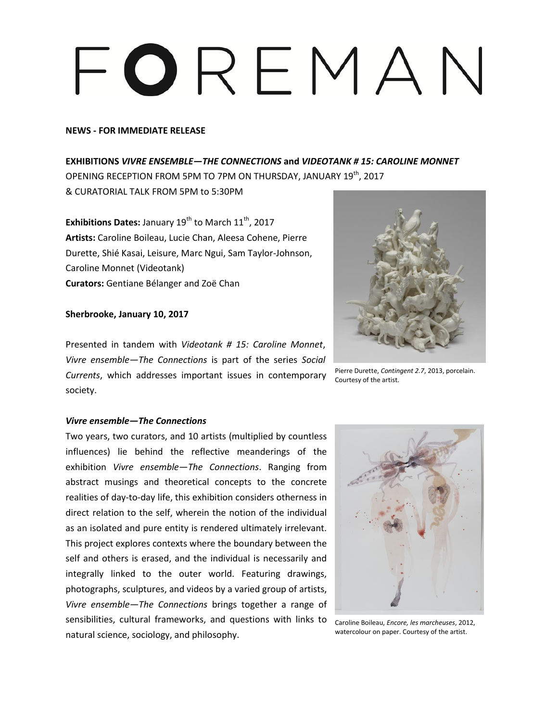# FOREMAN

### **NEWS - FOR IMMEDIATE RELEASE**

**EXHIBITIONS** *VIVRE ENSEMBLE—THE CONNECTIONS* **and** *VIDEOTANK # 15: CAROLINE MONNET* OPENING RECEPTION FROM 5PM TO 7PM ON THURSDAY, JANUARY  $19^\mathrm{th}$ , 2017 & CURATORIAL TALK FROM 5PM to 5:30PM

**Exhibitions Dates: January 19<sup>th</sup> to March 11<sup>th</sup>, 2017 Artists:** Caroline Boileau, Lucie Chan, Aleesa Cohene, Pierre Durette, Shié Kasai, Leisure, Marc Ngui, Sam Taylor-Johnson, Caroline Monnet (Videotank) **Curators:** Gentiane Bélanger and Zoë Chan

## **Sherbrooke, January 10, 2017**

Presented in tandem with *Videotank # 15: Caroline Monnet*, *Vivre ensemble—The Connections* is part of the series *Social Currents*, which addresses important issues in contemporary society.



Pierre Durette, *Contingent 2.7*, 2013, porcelain. Courtesy of the artist.

### *Vivre ensemble—The Connections*

Two years, two curators, and 10 artists (multiplied by countless influences) lie behind the reflective meanderings of the exhibition *Vivre ensemble—The Connections*. Ranging from abstract musings and theoretical concepts to the concrete realities of day-to-day life, this exhibition considers otherness in direct relation to the self, wherein the notion of the individual as an isolated and pure entity is rendered ultimately irrelevant. This project explores contexts where the boundary between the self and others is erased, and the individual is necessarily and integrally linked to the outer world. Featuring drawings, photographs, sculptures, and videos by a varied group of artists, *Vivre ensemble—The Connections* brings together a range of sensibilities, cultural frameworks, and questions with links to natural science, sociology, and philosophy.



Caroline Boileau, *Encore, les marcheuses*, 2012, watercolour on paper. Courtesy of the artist.